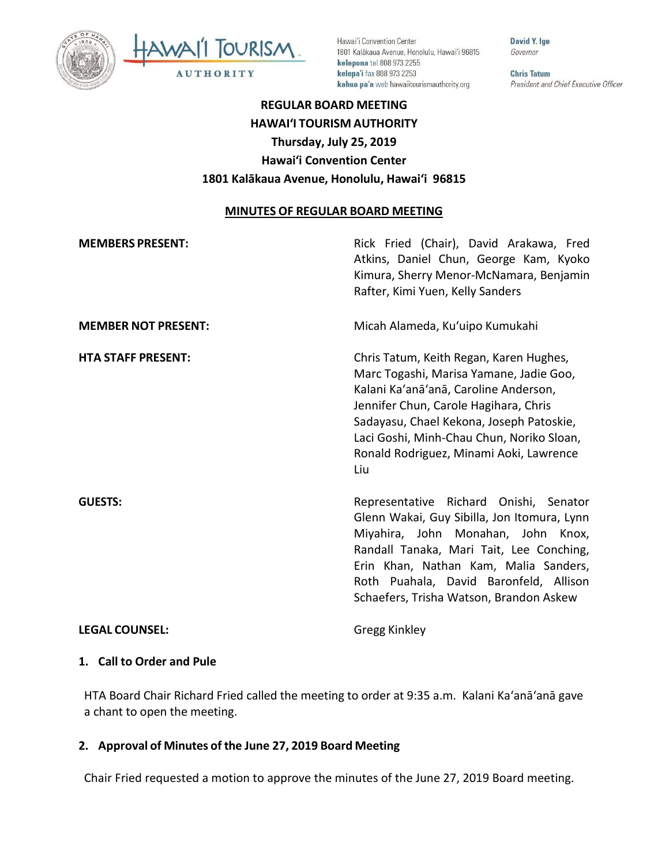



Hawai'i Convention Center 1801 Kalākaua Avenue, Honolulu, Hawai'i 96815 kelepona tel 808 973 2255 kelepa'i fax 808 973 2253 kahua pa'a web hawaiitourismauthority.org

David Y. Ige Governor

**Chris Tatum** President and Chief Executive Officer

# **REGULAR BOARD MEETING HAWAI'I TOURISM AUTHORITY Thursday, July 25, 2019 Hawai'i Convention Center 1801 Kalākaua Avenue, Honolulu, Hawai'i 96815**

#### **MINUTES OF REGULAR BOARD MEETING**

| <b>MEMBERS PRESENT:</b>    | Rick Fried (Chair), David Arakawa, Fred<br>Atkins, Daniel Chun, George Kam, Kyoko<br>Kimura, Sherry Menor-McNamara, Benjamin<br>Rafter, Kimi Yuen, Kelly Sanders                                                                                                                                                |
|----------------------------|-----------------------------------------------------------------------------------------------------------------------------------------------------------------------------------------------------------------------------------------------------------------------------------------------------------------|
| <b>MEMBER NOT PRESENT:</b> | Micah Alameda, Ku'uipo Kumukahi                                                                                                                                                                                                                                                                                 |
| <b>HTA STAFF PRESENT:</b>  | Chris Tatum, Keith Regan, Karen Hughes,<br>Marc Togashi, Marisa Yamane, Jadie Goo,<br>Kalani Ka'anā'anā, Caroline Anderson,<br>Jennifer Chun, Carole Hagihara, Chris<br>Sadayasu, Chael Kekona, Joseph Patoskie,<br>Laci Goshi, Minh-Chau Chun, Noriko Sloan,<br>Ronald Rodriguez, Minami Aoki, Lawrence<br>Liu |
| <b>GUESTS:</b>             | Representative Richard Onishi, Senator<br>Glenn Wakai, Guy Sibilla, Jon Itomura, Lynn<br>Miyahira, John Monahan, John Knox,<br>Randall Tanaka, Mari Tait, Lee Conching,<br>Erin Khan, Nathan Kam, Malia Sanders,<br>Roth Puahala, David Baronfeld, Allison<br>Schaefers, Trisha Watson, Brandon Askew           |
| <b>LEGAL COUNSEL:</b>      | Gregg Kinkley                                                                                                                                                                                                                                                                                                   |

#### **1. Call to Order and Pule**

HTA Board Chair Richard Fried called the meeting to order at 9:35 a.m. Kalani Ka'anā'anā gave a chant to open the meeting.

#### **2. Approval of Minutes of the June 27, 2019 Board Meeting**

Chair Fried requested a motion to approve the minutes of the June 27, 2019 Board meeting.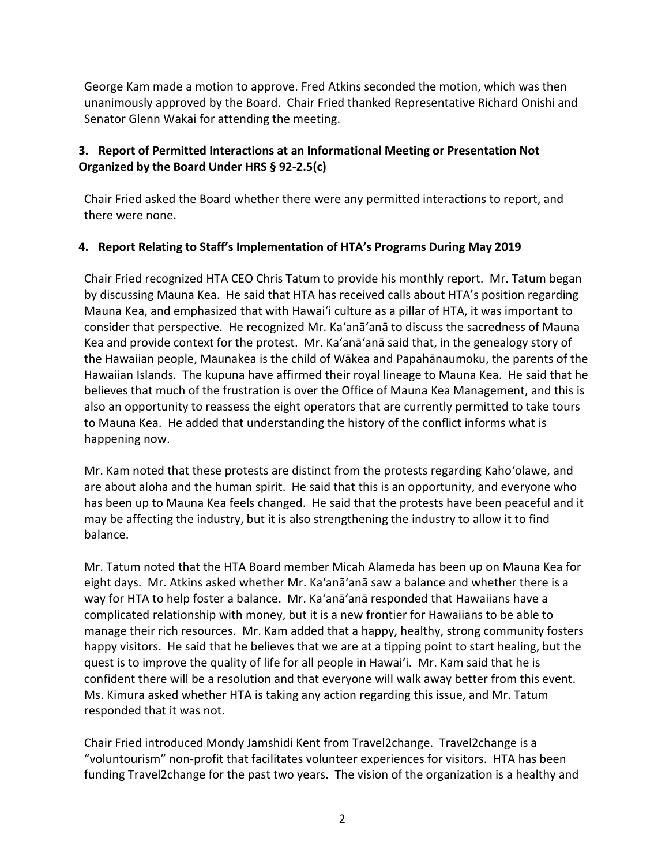George Kam made a motion to approve. Fred Atkins seconded the motion, which was then unanimously approved by the Board. Chair Fried thanked Representative Richard Onishi and Senator Glenn Wakai for attending the meeting.

### **3. Report of Permitted Interactions at an Informational Meeting or Presentation Not Organized by the Board Under HRS § 92-2.5(c)**

Chair Fried asked the Board whether there were any permitted interactions to report, and there were none.

#### **4. Report Relating to Staff's Implementation of HTA's Programs During May 2019**

Chair Fried recognized HTA CEO Chris Tatum to provide his monthly report. Mr. Tatum began by discussing Mauna Kea. He said that HTA has received calls about HTA's position regarding Mauna Kea, and emphasized that with Hawai'i culture as a pillar of HTA, it was important to consider that perspective. He recognized Mr. Ka'anā'anā to discuss the sacredness of Mauna Kea and provide context for the protest. Mr. Ka'anā'anā said that, in the genealogy story of the Hawaiian people, Maunakea is the child of Wākea and Papahānaumoku, the parents of the Hawaiian Islands. The kupuna have affirmed their royal lineage to Mauna Kea. He said that he believes that much of the frustration is over the Office of Mauna Kea Management, and this is also an opportunity to reassess the eight operators that are currently permitted to take tours to Mauna Kea. He added that understanding the history of the conflict informs what is happening now.

Mr. Kam noted that these protests are distinct from the protests regarding Kaho'olawe, and are about aloha and the human spirit. He said that this is an opportunity, and everyone who has been up to Mauna Kea feels changed. He said that the protests have been peaceful and it may be affecting the industry, but it is also strengthening the industry to allow it to find balance.

Mr. Tatum noted that the HTA Board member Micah Alameda has been up on Mauna Kea for eight days. Mr. Atkins asked whether Mr. Ka'anā'anā saw a balance and whether there is a way for HTA to help foster a balance. Mr. Ka'anā'anā responded that Hawaiians have a complicated relationship with money, but it is a new frontier for Hawaiians to be able to manage their rich resources. Mr. Kam added that a happy, healthy, strong community fosters happy visitors. He said that he believes that we are at a tipping point to start healing, but the quest is to improve the quality of life for all people in Hawai'i. Mr. Kam said that he is confident there will be a resolution and that everyone will walk away better from this event. Ms. Kimura asked whether HTA is taking any action regarding this issue, and Mr. Tatum responded that it was not.

Chair Fried introduced Mondy Jamshidi Kent from Travel2change. Travel2change is a "voluntourism" non-profit that facilitates volunteer experiences for visitors. HTA has been funding Travel2change for the past two years. The vision of the organization is a healthy and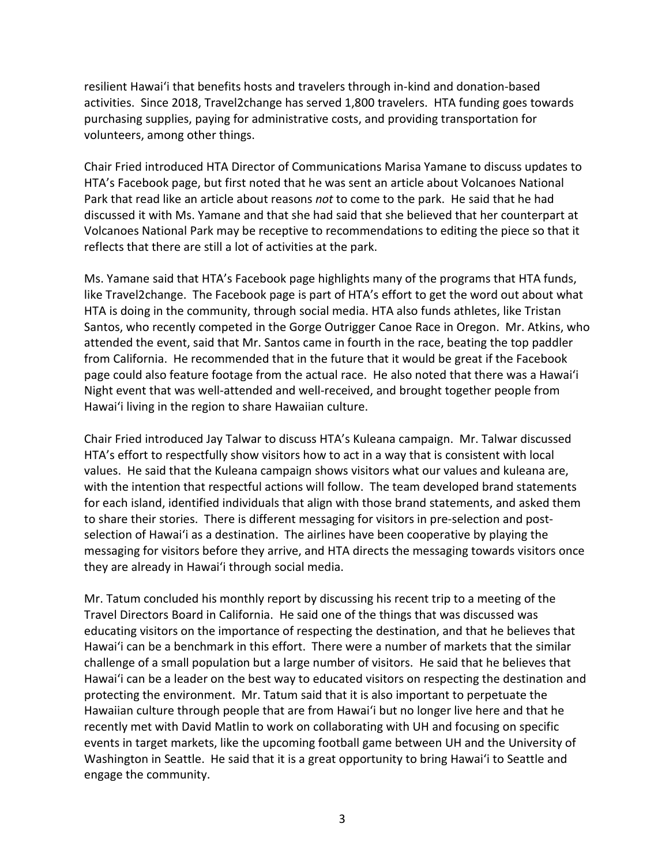resilient Hawai'i that benefits hosts and travelers through in-kind and donation-based activities. Since 2018, Travel2change has served 1,800 travelers. HTA funding goes towards purchasing supplies, paying for administrative costs, and providing transportation for volunteers, among other things.

Chair Fried introduced HTA Director of Communications Marisa Yamane to discuss updates to HTA's Facebook page, but first noted that he was sent an article about Volcanoes National Park that read like an article about reasons *not* to come to the park. He said that he had discussed it with Ms. Yamane and that she had said that she believed that her counterpart at Volcanoes National Park may be receptive to recommendations to editing the piece so that it reflects that there are still a lot of activities at the park.

Ms. Yamane said that HTA's Facebook page highlights many of the programs that HTA funds, like Travel2change. The Facebook page is part of HTA's effort to get the word out about what HTA is doing in the community, through social media. HTA also funds athletes, like Tristan Santos, who recently competed in the Gorge Outrigger Canoe Race in Oregon. Mr. Atkins, who attended the event, said that Mr. Santos came in fourth in the race, beating the top paddler from California. He recommended that in the future that it would be great if the Facebook page could also feature footage from the actual race. He also noted that there was a Hawai'i Night event that was well-attended and well-received, and brought together people from Hawai'i living in the region to share Hawaiian culture.

Chair Fried introduced Jay Talwar to discuss HTA's Kuleana campaign. Mr. Talwar discussed HTA's effort to respectfully show visitors how to act in a way that is consistent with local values. He said that the Kuleana campaign shows visitors what our values and kuleana are, with the intention that respectful actions will follow. The team developed brand statements for each island, identified individuals that align with those brand statements, and asked them to share their stories. There is different messaging for visitors in pre-selection and postselection of Hawai'i as a destination. The airlines have been cooperative by playing the messaging for visitors before they arrive, and HTA directs the messaging towards visitors once they are already in Hawai'i through social media.

Mr. Tatum concluded his monthly report by discussing his recent trip to a meeting of the Travel Directors Board in California. He said one of the things that was discussed was educating visitors on the importance of respecting the destination, and that he believes that Hawai'i can be a benchmark in this effort. There were a number of markets that the similar challenge of a small population but a large number of visitors. He said that he believes that Hawai'i can be a leader on the best way to educated visitors on respecting the destination and protecting the environment. Mr. Tatum said that it is also important to perpetuate the Hawaiian culture through people that are from Hawai'i but no longer live here and that he recently met with David Matlin to work on collaborating with UH and focusing on specific events in target markets, like the upcoming football game between UH and the University of Washington in Seattle. He said that it is a great opportunity to bring Hawai'i to Seattle and engage the community.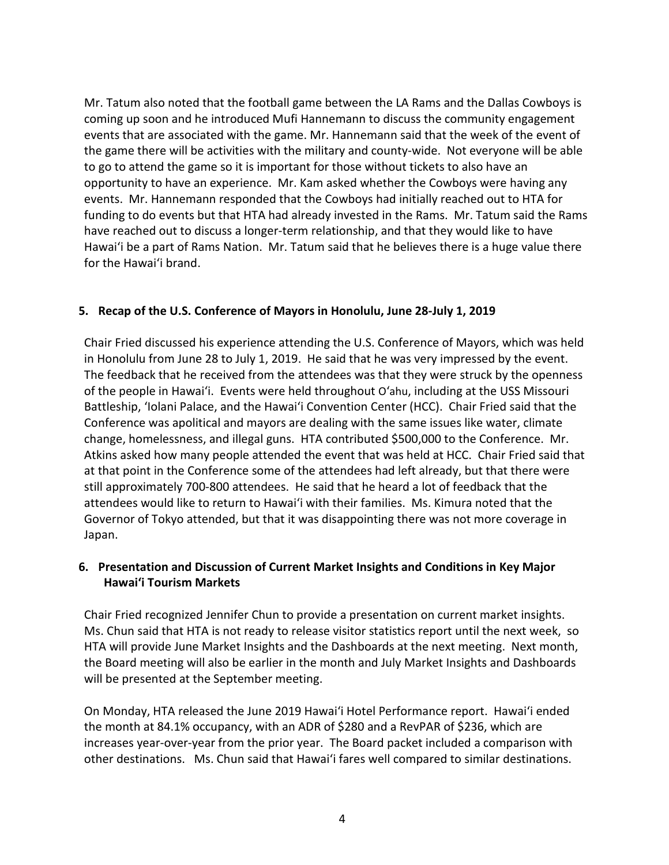Mr. Tatum also noted that the football game between the LA Rams and the Dallas Cowboys is coming up soon and he introduced Mufi Hannemann to discuss the community engagement events that are associated with the game. Mr. Hannemann said that the week of the event of the game there will be activities with the military and county-wide. Not everyone will be able to go to attend the game so it is important for those without tickets to also have an opportunity to have an experience. Mr. Kam asked whether the Cowboys were having any events. Mr. Hannemann responded that the Cowboys had initially reached out to HTA for funding to do events but that HTA had already invested in the Rams. Mr. Tatum said the Rams have reached out to discuss a longer-term relationship, and that they would like to have Hawai'i be a part of Rams Nation. Mr. Tatum said that he believes there is a huge value there for the Hawai'i brand.

#### **5. Recap of the U.S. Conference of Mayors in Honolulu, June 28-July 1, 2019**

Chair Fried discussed his experience attending the U.S. Conference of Mayors, which was held in Honolulu from June 28 to July 1, 2019. He said that he was very impressed by the event. The feedback that he received from the attendees was that they were struck by the openness of the people in Hawai'i. Events were held throughout O'ahu, including at the USS Missouri Battleship, 'Iolani Palace, and the Hawai'i Convention Center (HCC). Chair Fried said that the Conference was apolitical and mayors are dealing with the same issues like water, climate change, homelessness, and illegal guns. HTA contributed \$500,000 to the Conference. Mr. Atkins asked how many people attended the event that was held at HCC. Chair Fried said that at that point in the Conference some of the attendees had left already, but that there were still approximately 700-800 attendees. He said that he heard a lot of feedback that the attendees would like to return to Hawai'i with their families. Ms. Kimura noted that the Governor of Tokyo attended, but that it was disappointing there was not more coverage in Japan.

### **6. Presentation and Discussion of Current Market Insights and Conditions in Key Major Hawai'i Tourism Markets**

Chair Fried recognized Jennifer Chun to provide a presentation on current market insights. Ms. Chun said that HTA is not ready to release visitor statistics report until the next week, so HTA will provide June Market Insights and the Dashboards at the next meeting. Next month, the Board meeting will also be earlier in the month and July Market Insights and Dashboards will be presented at the September meeting.

On Monday, HTA released the June 2019 Hawai'i Hotel Performance report. Hawai'i ended the month at 84.1% occupancy, with an ADR of \$280 and a RevPAR of \$236, which are increases year-over-year from the prior year. The Board packet included a comparison with other destinations. Ms. Chun said that Hawai'i fares well compared to similar destinations.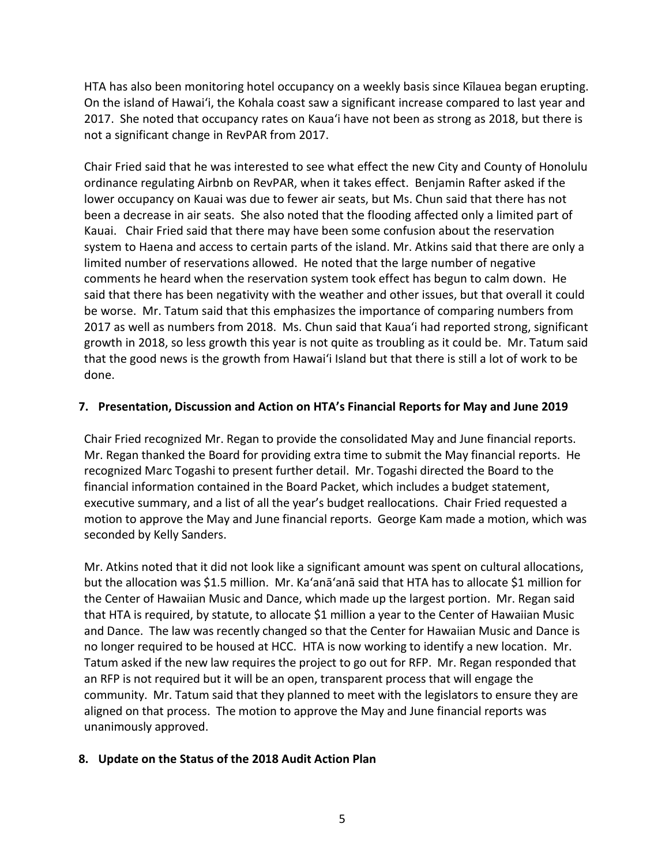HTA has also been monitoring hotel occupancy on a weekly basis since Kīlauea began erupting. On the island of Hawai'i, the Kohala coast saw a significant increase compared to last year and 2017. She noted that occupancy rates on Kaua'i have not been as strong as 2018, but there is not a significant change in RevPAR from 2017.

Chair Fried said that he was interested to see what effect the new City and County of Honolulu ordinance regulating Airbnb on RevPAR, when it takes effect. Benjamin Rafter asked if the lower occupancy on Kauai was due to fewer air seats, but Ms. Chun said that there has not been a decrease in air seats. She also noted that the flooding affected only a limited part of Kauai. Chair Fried said that there may have been some confusion about the reservation system to Haena and access to certain parts of the island. Mr. Atkins said that there are only a limited number of reservations allowed. He noted that the large number of negative comments he heard when the reservation system took effect has begun to calm down. He said that there has been negativity with the weather and other issues, but that overall it could be worse. Mr. Tatum said that this emphasizes the importance of comparing numbers from 2017 as well as numbers from 2018. Ms. Chun said that Kaua'i had reported strong, significant growth in 2018, so less growth this year is not quite as troubling as it could be. Mr. Tatum said that the good news is the growth from Hawai'i Island but that there is still a lot of work to be done.

#### **7. Presentation, Discussion and Action on HTA's Financial Reports for May and June 2019**

Chair Fried recognized Mr. Regan to provide the consolidated May and June financial reports. Mr. Regan thanked the Board for providing extra time to submit the May financial reports. He recognized Marc Togashi to present further detail. Mr. Togashi directed the Board to the financial information contained in the Board Packet, which includes a budget statement, executive summary, and a list of all the year's budget reallocations. Chair Fried requested a motion to approve the May and June financial reports. George Kam made a motion, which was seconded by Kelly Sanders.

Mr. Atkins noted that it did not look like a significant amount was spent on cultural allocations, but the allocation was \$1.5 million. Mr. Ka'anā'anā said that HTA has to allocate \$1 million for the Center of Hawaiian Music and Dance, which made up the largest portion. Mr. Regan said that HTA is required, by statute, to allocate \$1 million a year to the Center of Hawaiian Music and Dance. The law was recently changed so that the Center for Hawaiian Music and Dance is no longer required to be housed at HCC. HTA is now working to identify a new location. Mr. Tatum asked if the new law requires the project to go out for RFP. Mr. Regan responded that an RFP is not required but it will be an open, transparent process that will engage the community. Mr. Tatum said that they planned to meet with the legislators to ensure they are aligned on that process. The motion to approve the May and June financial reports was unanimously approved.

#### **8. Update on the Status of the 2018 Audit Action Plan**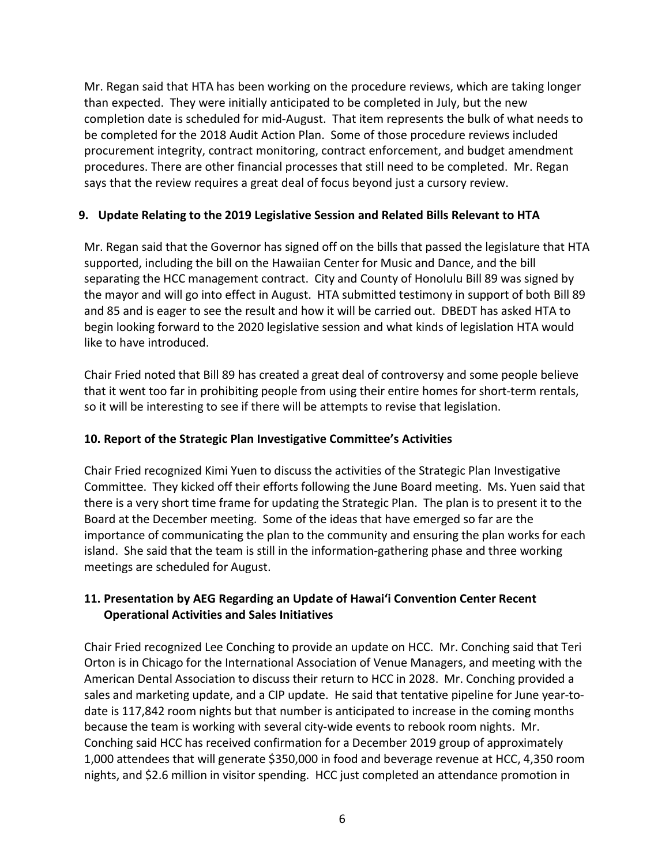Mr. Regan said that HTA has been working on the procedure reviews, which are taking longer than expected. They were initially anticipated to be completed in July, but the new completion date is scheduled for mid-August. That item represents the bulk of what needs to be completed for the 2018 Audit Action Plan. Some of those procedure reviews included procurement integrity, contract monitoring, contract enforcement, and budget amendment procedures. There are other financial processes that still need to be completed. Mr. Regan says that the review requires a great deal of focus beyond just a cursory review.

### **9. Update Relating to the 2019 Legislative Session and Related Bills Relevant to HTA**

Mr. Regan said that the Governor has signed off on the bills that passed the legislature that HTA supported, including the bill on the Hawaiian Center for Music and Dance, and the bill separating the HCC management contract. City and County of Honolulu Bill 89 was signed by the mayor and will go into effect in August. HTA submitted testimony in support of both Bill 89 and 85 and is eager to see the result and how it will be carried out. DBEDT has asked HTA to begin looking forward to the 2020 legislative session and what kinds of legislation HTA would like to have introduced.

Chair Fried noted that Bill 89 has created a great deal of controversy and some people believe that it went too far in prohibiting people from using their entire homes for short-term rentals, so it will be interesting to see if there will be attempts to revise that legislation.

## **10. Report of the Strategic Plan Investigative Committee's Activities**

Chair Fried recognized Kimi Yuen to discuss the activities of the Strategic Plan Investigative Committee. They kicked off their efforts following the June Board meeting. Ms. Yuen said that there is a very short time frame for updating the Strategic Plan. The plan is to present it to the Board at the December meeting. Some of the ideas that have emerged so far are the importance of communicating the plan to the community and ensuring the plan works for each island. She said that the team is still in the information-gathering phase and three working meetings are scheduled for August.

### **11. Presentation by AEG Regarding an Update of Hawai'i Convention Center Recent Operational Activities and Sales Initiatives**

Chair Fried recognized Lee Conching to provide an update on HCC. Mr. Conching said that Teri Orton is in Chicago for the International Association of Venue Managers, and meeting with the American Dental Association to discuss their return to HCC in 2028. Mr. Conching provided a sales and marketing update, and a CIP update. He said that tentative pipeline for June year-todate is 117,842 room nights but that number is anticipated to increase in the coming months because the team is working with several city-wide events to rebook room nights. Mr. Conching said HCC has received confirmation for a December 2019 group of approximately 1,000 attendees that will generate \$350,000 in food and beverage revenue at HCC, 4,350 room nights, and \$2.6 million in visitor spending. HCC just completed an attendance promotion in